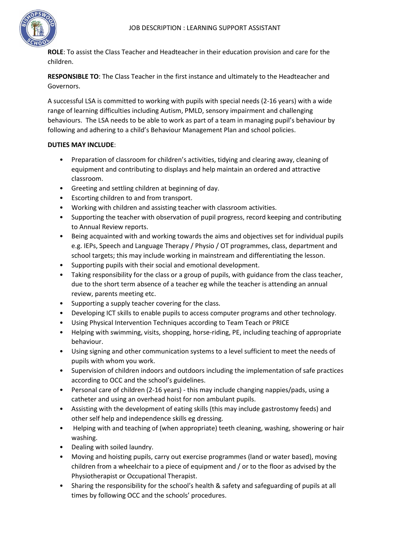

**ROLE**: To assist the Class Teacher and Headteacher in their education provision and care for the children.

**RESPONSIBLE TO**: The Class Teacher in the first instance and ultimately to the Headteacher and Governors.

A successful LSA is committed to working with pupils with special needs (2-16 years) with a wide range of learning difficulties including Autism, PMLD, sensory impairment and challenging behaviours. The LSA needs to be able to work as part of a team in managing pupil's behaviour by following and adhering to a child's Behaviour Management Plan and school policies.

## **DUTIES MAY INCLUDE**:

- Preparation of classroom for children's activities, tidying and clearing away, cleaning of equipment and contributing to displays and help maintain an ordered and attractive classroom.
- Greeting and settling children at beginning of day.
- Escorting children to and from transport.
- Working with children and assisting teacher with classroom activities.
- Supporting the teacher with observation of pupil progress, record keeping and contributing to Annual Review reports.
- Being acquainted with and working towards the aims and objectives set for individual pupils e.g. IEPs, Speech and Language Therapy / Physio / OT programmes, class, department and school targets; this may include working in mainstream and differentiating the lesson.
- Supporting pupils with their social and emotional development.
- Taking responsibility for the class or a group of pupils, with guidance from the class teacher, due to the short term absence of a teacher eg while the teacher is attending an annual review, parents meeting etc.
- Supporting a supply teacher covering for the class.
- Developing ICT skills to enable pupils to access computer programs and other technology.
- Using Physical Intervention Techniques according to Team Teach or PRICE
- Helping with swimming, visits, shopping, horse-riding, PE, including teaching of appropriate behaviour.
- Using signing and other communication systems to a level sufficient to meet the needs of pupils with whom you work.
- Supervision of children indoors and outdoors including the implementation of safe practices according to OCC and the school's guidelines.
- Personal care of children (2-16 years) this may include changing nappies/pads, using a catheter and using an overhead hoist for non ambulant pupils.
- Assisting with the development of eating skills (this may include gastrostomy feeds) and other self help and independence skills eg dressing.
- Helping with and teaching of (when appropriate) teeth cleaning, washing, showering or hair washing.
- Dealing with soiled laundry.
- Moving and hoisting pupils, carry out exercise programmes (land or water based), moving children from a wheelchair to a piece of equipment and / or to the floor as advised by the Physiotherapist or Occupational Therapist.
- Sharing the responsibility for the school's health & safety and safeguarding of pupils at all times by following OCC and the schools' procedures.